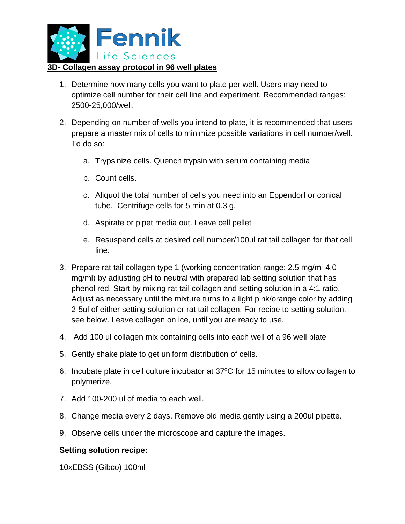

- 1. Determine how many cells you want to plate per well. Users may need to optimize cell number for their cell line and experiment. Recommended ranges: 2500-25,000/well.
- 2. Depending on number of wells you intend to plate, it is recommended that users prepare a master mix of cells to minimize possible variations in cell number/well. To do so:
	- a. Trypsinize cells. Quench trypsin with serum containing media
	- b. Count cells.
	- c. Aliquot the total number of cells you need into an Eppendorf or conical tube. Centrifuge cells for 5 min at 0.3 g.
	- d. Aspirate or pipet media out. Leave cell pellet
	- e. Resuspend cells at desired cell number/100ul rat tail collagen for that cell line.
- 3. Prepare rat tail collagen type 1 (working concentration range: 2.5 mg/ml-4.0 mg/ml) by adjusting pH to neutral with prepared lab setting solution that has phenol red. Start by mixing rat tail collagen and setting solution in a 4:1 ratio. Adjust as necessary until the mixture turns to a light pink/orange color by adding 2-5ul of either setting solution or rat tail collagen. For recipe to setting solution, see below. Leave collagen on ice, until you are ready to use.
- 4. Add 100 ul collagen mix containing cells into each well of a 96 well plate
- 5. Gently shake plate to get uniform distribution of cells.
- 6. Incubate plate in cell culture incubator at 37°C for 15 minutes to allow collagen to polymerize.
- 7. Add 100-200 ul of media to each well.
- 8. Change media every 2 days. Remove old media gently using a 200ul pipette.
- 9. Observe cells under the microscope and capture the images.

## **Setting solution recipe:**

10xEBSS (Gibco) 100ml